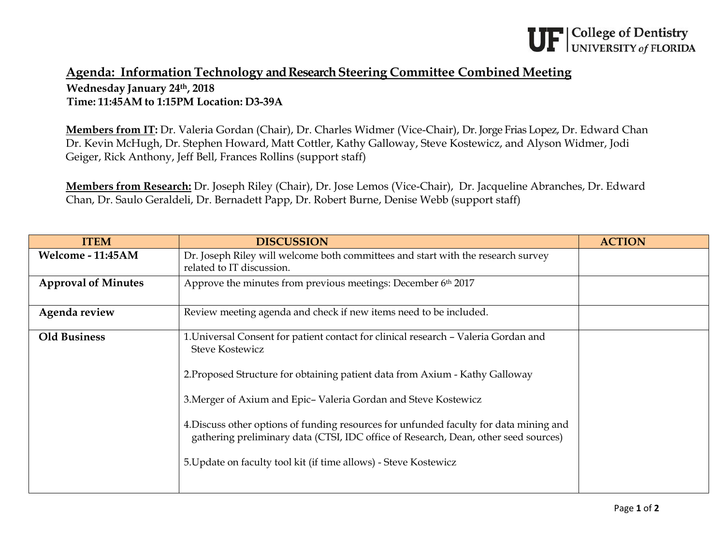## **Agenda: Information Technology and Research Steering Committee Combined Meeting Wednesday January 24th, 2018 Time: 11:45AM to 1:15PM Location: D3-39A**

**Members from IT:** Dr. Valeria Gordan (Chair), Dr. Charles Widmer (Vice-Chair), Dr. Jorge Frias Lopez, Dr. Edward Chan Dr. Kevin McHugh, Dr. Stephen Howard, Matt Cottler, Kathy Galloway, Steve Kostewicz, and Alyson Widmer, Jodi Geiger, Rick Anthony, Jeff Bell, Frances Rollins (support staff)

**Members from Research:** Dr. Joseph Riley (Chair), Dr. Jose Lemos (Vice-Chair), Dr. Jacqueline Abranches, Dr. Edward Chan, Dr. Saulo Geraldeli, Dr. Bernadett Papp, Dr. Robert Burne, Denise Webb (support staff)

| <b>ITEM</b>                | <b>DISCUSSION</b>                                                                                                                                                                                                                                                                                                                                                                                                                                                                                                    | <b>ACTION</b> |
|----------------------------|----------------------------------------------------------------------------------------------------------------------------------------------------------------------------------------------------------------------------------------------------------------------------------------------------------------------------------------------------------------------------------------------------------------------------------------------------------------------------------------------------------------------|---------------|
| Welcome - 11:45AM          | Dr. Joseph Riley will welcome both committees and start with the research survey<br>related to IT discussion.                                                                                                                                                                                                                                                                                                                                                                                                        |               |
| <b>Approval of Minutes</b> | Approve the minutes from previous meetings: December 6th 2017                                                                                                                                                                                                                                                                                                                                                                                                                                                        |               |
| Agenda review              | Review meeting agenda and check if new items need to be included.                                                                                                                                                                                                                                                                                                                                                                                                                                                    |               |
| <b>Old Business</b>        | 1. Universal Consent for patient contact for clinical research - Valeria Gordan and<br><b>Steve Kostewicz</b><br>2. Proposed Structure for obtaining patient data from Axium - Kathy Galloway<br>3. Merger of Axium and Epic-Valeria Gordan and Steve Kostewicz<br>4. Discuss other options of funding resources for unfunded faculty for data mining and<br>gathering preliminary data (CTSI, IDC office of Research, Dean, other seed sources)<br>5. Update on faculty tool kit (if time allows) - Steve Kostewicz |               |